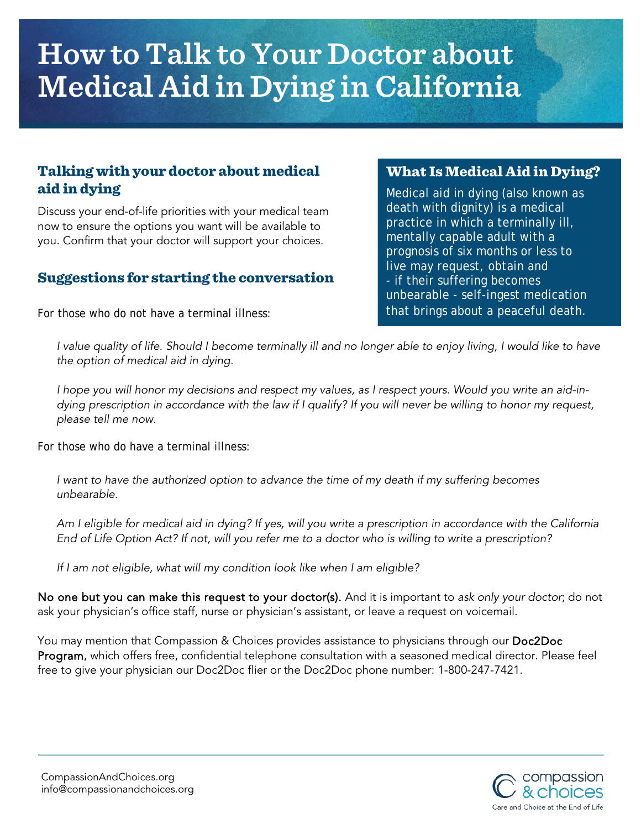# **How to Talk to Your Doctor about Medical Aid in Dying in California**

## Talking with your doctor about medical aid in dying

Discuss your end-of-life priorities with your medical team now to ensure the options you want will be available to you. Confirm that your doctor will support your choices.

#### Suggestions for starting the conversation

For those who *do not* have a terminal illness:

### What Is Medical Aid in Dying?

Medical aid in dying (also known as death with dignity) is a medical practice in which a terminally ill, mentally capable adult with a prognosis of six months or less to live may request, obtain and - if their suffering becomes unbearable - self-ingest medication that brings about a peaceful death.

*I value quality of life. Should I become terminally ill and no longer able to enjoy living, I would like to have the option of medical aid in dying.* 

*I hope you will honor my decisions and respect my values, as I respect yours. Would you write an aid-indying prescription in accordance with the law if I qualify? If you will never be willing to honor my request, please tell me now.*

For those who *do* have a terminal illness:

*I want to have the authorized option to advance the time of my death if my suffering becomes unbearable.*

*Am I eligible for medical aid in dying? If yes, will you write a prescription in accordance with the California End of Life Option Act? If not, will you refer me to a doctor who is willing to write a prescription?*

*If I am not eligible, what will my condition look like when I am eligible?*

No one but you can make this request to your doctor(s). And it is important to *ask only your doctor*; do not ask your physician's office staff, nurse or physician's assistant, or leave a request on voicemail.

You may mention that Compassion & Choices provides assistance to physicians through our Doc2Doc Program, which offers free, confidential telephone consultation with a seasoned medical director. Please feel free to give your physician our Doc2Doc flier or the Doc2Doc phone number: 1-800-247-7421.